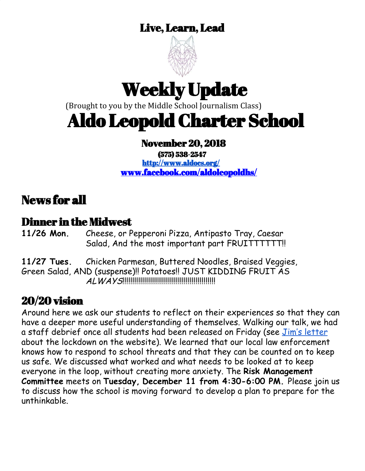#### Live, Learn, Lead



# Weekly Update

(Brought to you by the Middle School Journalism Class)

# Aldo Leopold Charter School

#### November 20, 2018

(575) 538-2547 <http://www.aldocs.org/> [www.facebook.com/aldoleopoldhs/](http://www.facebook.com/aldoleopoldhs/)

### News for all

# **Dinner in the Midwest**<br>11/26 Mon. Cheese or P

**11/26 Mon.** Cheese, or Pepperoni Pizza, Antipasto Tray, Caesar Salad, And the most important part FRUITTTTTT!!

**11/27 Tues.** Chicken Parmesan, Buttered Noodles, Braised Veggies, Green Salad, AND (suspense)!! Potatoes!! JUST KIDDING FRUIT AS ALWAYS!!!!!!!!!!!!!!!!!!!!!!!!!!!!!!!!!!!!!!!!!!!!!!!

#### 20/20 vision

Around here we ask our students to reflect on their experiences so that they can have a deeper more useful understanding of themselves. Walking our talk, we had a staff debrief once all students had been released on Friday (see Jim's [letter](https://www.aldocs.org/lockdown---nov-16-2018.html) about the lockdown on the website). We learned that our local law enforcement knows how to respond to school threats and that they can be counted on to keep us safe. We discussed what worked and what needs to be looked at to keep everyone in the loop, without creating more anxiety. The **Risk Management Committee** meets on **Tuesday, December 11 from 4:30-6:00 PM.** Please join us to discuss how the school is moving forward to develop a plan to prepare for the unthinkable.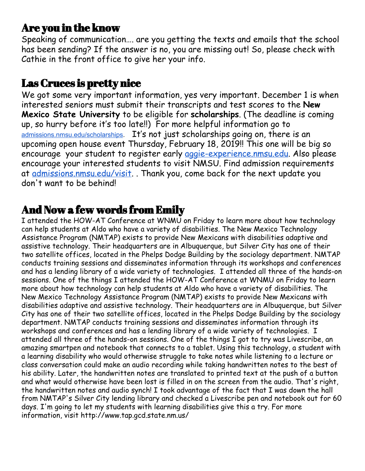#### Are you in the know

Speaking of communication…. are you getting the texts and emails that the school has been sending? If the answer is no, you are missing out! So, please check with Cathie in the front office to give her your info.

#### Las Cruces is pretty nice

We got some very important information, yes very important. December 1 is when interested seniors must submit their transcripts and test scores to the **New Mexico State University** to be eligible for **scholarships**. (The deadline is coming up, so hurry before it's too late!!) For more helpful information go to [admissions.nmsu.edu/scholarships](http://nmsu.askadmissions.net/admin/Communications/ClickThru.aspx?qs=_0nn3FAGnvzH-lRVcL_wPHrvFfggRr6SXf4Bz-MTkelO9jpO80H6KHqRuRyePc7DG). It's not just scholarships going on, there is an upcoming open house event Thursday, February 18, 2019!! This one will be big so encourage your student to register early [aggie-experience.nmsu.edu.](http://nmsu.askadmissions.net/admin/Communications/ClickThru.aspx?qs=_0nn3FAGnvzH-lRVcL_wPHpL0bESvfTcLXGKxeg85mQJJKhqxedRT72zmn4A7nUTI) Also please encourage your interested students to visit NMSU. Find admission requirements at [admissions.nmsu.edu/visit](http://nmsu.askadmissions.net/admin/Communications/ClickThru.aspx?qs=_0nn3FAGnvzH-lRVcL_wPHoZVtS7KzbgqcPcxew8V_gVKygyibTdqN7KRVKqEhdYk). . Thank you, come back for the next update you don't want to be behind!

#### And Now a few words from Emily

I attended the HOW-AT Conference at WNMU on Friday to learn more about how technology can help students at Aldo who have a variety of disabilities. The New Mexico Technology Assistance Program (NMTAP) exists to provide New Mexicans with disabilities adaptive and assistive technology. Their headquarters are in Albuquerque, but Silver City has one of their two satellite offices, located in the Phelps Dodge Building by the sociology department. NMTAP conducts training sessions and disseminates information through its workshops and conferences and has a lending library of a wide variety of technologies. I attended all three of the hands-on sessions. One of the things I attended the HOW-AT Conference at WNMU on Friday to learn more about how technology can help students at Aldo who have a variety of disabilities. The New Mexico Technology Assistance Program (NMTAP) exists to provide New Mexicans with disabilities adaptive and assistive technology. Their headquarters are in Albuquerque, but Silver City has one of their two satellite offices, located in the Phelps Dodge Building by the sociology department. NMTAP conducts training sessions and disseminates information through its workshops and conferences and has a lending library of a wide variety of technologies. I attended all three of the hands-on sessions. One of the things I got to try was Livescribe, an amazing smartpen and notebook that connects to a tablet. Using this technology, a student with a learning disability who would otherwise struggle to take notes while listening to a lecture or class conversation could make an audio recording while taking handwritten notes to the best of his ability. Later, the handwritten notes are translated to printed text at the push of a button and what would otherwise have been lost is filled in on the screen from the audio. That's right, the handwritten notes and audio synch! I took advantage of the fact that I was down the hall from NMTAP's Silver City lending library and checked a Livescribe pen and notebook out for 60 days. I'm going to let my students with learning disabilities give this a try. For more information, visit http://www.tap.gcd.state.nm.us/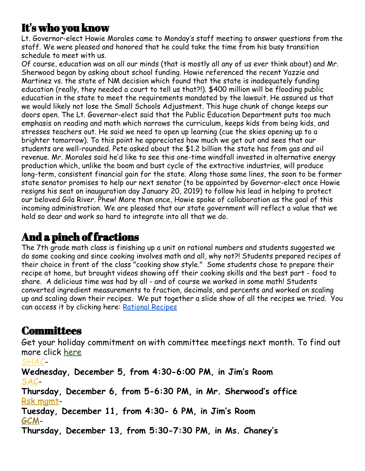#### It's who you know

Lt. Governor-elect Howie Morales came to Monday's staff meeting to answer questions from the staff. We were pleased and honored that he could take the time from his busy transition schedule to meet with us.

Of course, education was on all our minds (that is mostly all any of us ever think about) and Mr. Sherwood began by asking about school funding. Howie referenced the recent Yazzie and Martinez vs. the state of NM decision which found that the state is inadequately funding education (really, they needed a court to tell us that?!). \$400 million will be flooding public education in the state to meet the requirements mandated by the lawsuit. He assured us that we would likely not lose the Small Schools Adjustment. This huge chunk of change keeps our doors open. The Lt. Governor-elect said that the Public Education Department puts too much emphasis on reading and math which narrows the curriculum, keeps kids from being kids, and stresses teachers out. He said we need to open up learning (cue the skies opening up to a brighter tomorrow). To this point he appreciates how much we get out and sees that our students are well-rounded. Pete asked about the \$1.2 billion the state has from gas and oil revenue. Mr. Morales said he'd like to see this one-time windfall invested in alternative energy production which, unlike the boom and bust cycle of the extractive industries, will produce long-term, consistent financial gain for the state. Along those same lines, the soon to be former state senator promises to help our next senator (to be appointed by Governor-elect once Howie resigns his seat on inauguration day January 20, 2019) to follow his lead in helping to protect our beloved Gila River. Phew! More than once, Howie spoke of collaboration as the goal of this incoming administration. We are pleased that our state government will reflect a value that we hold so dear and work so hard to integrate into all that we do.

#### And a pinch of fractions

The 7th grade math class is finishing up a unit on rational numbers and students suggested we do some cooking and since cooking involves math and all, why not?! Students prepared recipes of their choice in front of the class "cooking show style." Some students chose to prepare their recipe at home, but brought videos showing off their cooking skills and the best part - food to share. A delicious time was had by all - and of course we worked in some math! Students converted ingredient measurements to fraction, decimals, and percents and worked on scaling up and scaling down their recipes. We put together a slide show of all the recipes we tried. You can access it by clicking here: [Rational Recipes](https://docs.google.com/presentation/d/10Bf3TOJpJC_t34o5kLQI8as2qxngQUdB7-zbDyOOVV8/edit?usp=sharing)

#### **Committees**

Get your holiday commitment on with committee meetings next month. To find out more click [here](https://www.aldocs.org/committee-overview.html)

[SHAC](https://www.aldocs.org/school-health-advisory-council.html)-**Wednesday, December 5, from 4:30-6:00 PM, in Jim's Room** [SAC](http://www.aldocs.org/school-advisory-council.html)-**Thursday, December 6, from 5-6:30 PM, in Mr. Sherwood's office** Rsk [mgmt](https://www.aldocs.org/risk-management.html)-**Tuesday, December 11, from 4:30- 6 PM, in Jim's Room** [GCM](https://www.aldocs.org/about-the-alcs-governing-council.html)-**Thursday, December 13, from 5:30-7:30 PM, in Ms. Chaney's**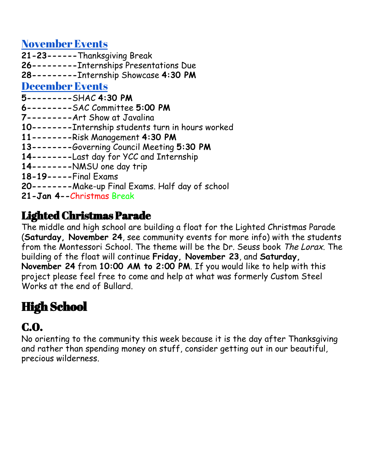[November](https://www.aldocs.org/) Events

**21-23------**Thanksgiving Break **26---------**Internships Presentations Due **28---------**Internship Showcase **4:30 PM** [December](https://www.aldocs.org/calendar.html) Events **5---------**SHAC **4:30 PM 6---------**SAC Committee **5:00 PM 7---------**Art Show at Javalina **10--------**Internship students turn in hours worked **11--------**Risk Management **4:30 PM 13--------**Governing Council Meeting **5:30 PM 14--------**Last day for YCC and Internship **14--------**NMSU one day trip **18-19-----**Final Exams **20--------**Make-up Final Exams. Half day of school

**21-Jan 4--**Christmas Break

#### Lighted Christmas Parade

The middle and high school are building a float for the Lighted Christmas Parade (**Saturday, November 24**, see community events for more info) with the students from the Montessori School. The theme will be the Dr. Seuss book The Lorax. The building of the float will continue **Friday, November 23**, and **Saturday, November 24** from **10:00 AM to 2:00 PM**. If you would like to help with this project please feel free to come and help at what was formerly Custom Steel Works at the end of Bullard.

# High School

# C.O.

No orienting to the community this week because it is the day after Thanksgiving and rather than spending money on stuff, consider getting out in our beautiful, precious wilderness.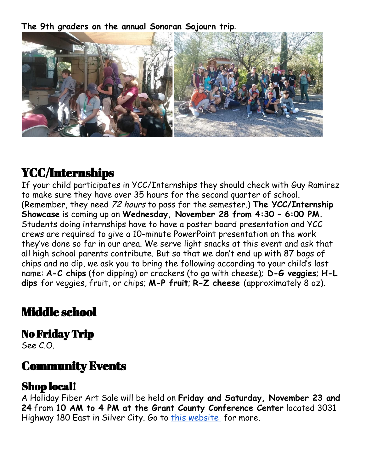**The 9th graders on the annual Sonoran Sojourn trip.**



# YCC/Internships

If your child participates in YCC/Internships they should check with Guy Ramirez to make sure they have over 35 hours for the second quarter of school. (Remember, they need 72 hours to pass for the semester.) **The YCC/Internship Showcase** is coming up on **Wednesday, November 28 from 4:30 – 6:00 PM.** Students doing internships have to have a poster board presentation and YCC crews are required to give a 10-minute PowerPoint presentation on the work they've done so far in our area. We serve light snacks at this event and ask that all high school parents contribute. But so that we don't end up with 87 bags of chips and no dip, we ask you to bring the following according to your child's last name: **A-C chips** (for dipping) or crackers (to go with cheese); **D-G veggies**; **H-L dips** for veggies, fruit, or chips; **M-P fruit**; **R-Z cheese** (approximately 8 oz).

## Middle school

#### No Friday Trip

See C.O.

#### Community Events

#### Shop local!

A Holiday Fiber Art Sale will be held on **Friday and Saturday, November 23 and 24** from **10 AM to 4 PM at the Grant County Conference Center** located 3031 Highway 180 East in Silver City. Go to this [website](http://www.fiberartscollective.org/) for more.